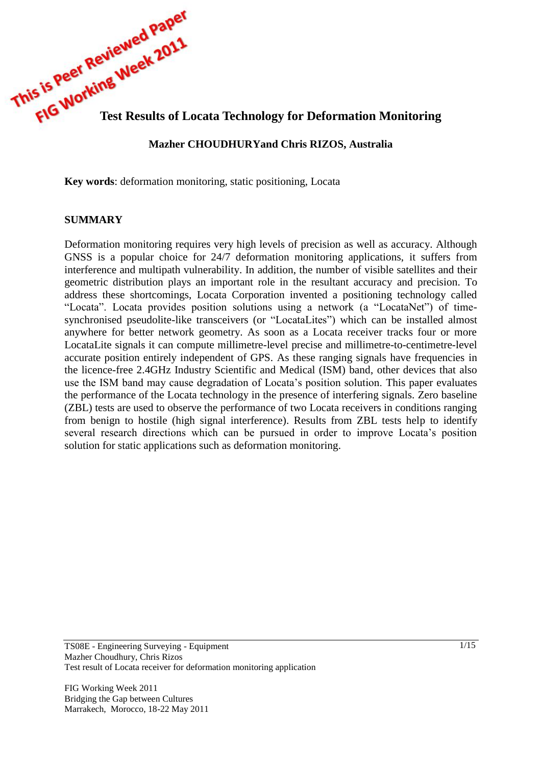**This is reproduing Ween**<br> **This is results of Locata Technology for Deformation Monitoring** 

### **Mazher CHOUDHURYand Chris RIZOS, Australia**

**Key words**: deformation monitoring, static positioning, Locata

#### **SUMMARY**

Deformation monitoring requires very high levels of precision as well as accuracy. Although GNSS is a popular choice for 24/7 deformation monitoring applications, it suffers from interference and multipath vulnerability. In addition, the number of visible satellites and their geometric distribution plays an important role in the resultant accuracy and precision. To address these shortcomings, Locata Corporation invented a positioning technology called "Locata". Locata provides position solutions using a network (a "LocataNet") of timesynchronised pseudolite-like transceivers (or "LocataLites") which can be installed almost anywhere for better network geometry. As soon as a Locata receiver tracks four or more LocataLite signals it can compute millimetre-level precise and millimetre-to-centimetre-level accurate position entirely independent of GPS. As these ranging signals have frequencies in the licence-free 2.4GHz Industry Scientific and Medical (ISM) band, other devices that also use the ISM band may cause degradation of Locata's position solution. This paper evaluates the performance of the Locata technology in the presence of interfering signals. Zero baseline (ZBL) tests are used to observe the performance of two Locata receivers in conditions ranging from benign to hostile (high signal interference). Results from ZBL tests help to identify several research directions which can be pursued in order to improve Locata's position solution for static applications such as deformation monitoring.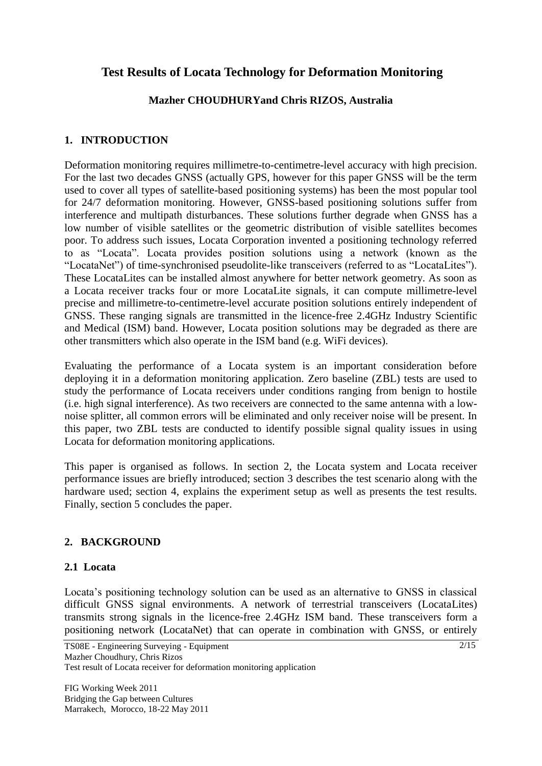# **Test Results of Locata Technology for Deformation Monitoring**

## **Mazher CHOUDHURYand Chris RIZOS, Australia**

### **1. INTRODUCTION**

Deformation monitoring requires millimetre-to-centimetre-level accuracy with high precision. For the last two decades GNSS (actually GPS, however for this paper GNSS will be the term used to cover all types of satellite-based positioning systems) has been the most popular tool for 24/7 deformation monitoring. However, GNSS-based positioning solutions suffer from interference and multipath disturbances. These solutions further degrade when GNSS has a low number of visible satellites or the geometric distribution of visible satellites becomes poor. To address such issues, Locata Corporation invented a positioning technology referred to as "Locata". Locata provides position solutions using a network (known as the "LocataNet") of time-synchronised pseudolite-like transceivers (referred to as "LocataLites"). These LocataLites can be installed almost anywhere for better network geometry. As soon as a Locata receiver tracks four or more LocataLite signals, it can compute millimetre-level precise and millimetre-to-centimetre-level accurate position solutions entirely independent of GNSS. These ranging signals are transmitted in the licence-free 2.4GHz Industry Scientific and Medical (ISM) band. However, Locata position solutions may be degraded as there are other transmitters which also operate in the ISM band (e.g. WiFi devices).

Evaluating the performance of a Locata system is an important consideration before deploying it in a deformation monitoring application. Zero baseline (ZBL) tests are used to study the performance of Locata receivers under conditions ranging from benign to hostile (i.e. high signal interference). As two receivers are connected to the same antenna with a lownoise splitter, all common errors will be eliminated and only receiver noise will be present. In this paper, two ZBL tests are conducted to identify possible signal quality issues in using Locata for deformation monitoring applications.

This paper is organised as follows. In section 2, the Locata system and Locata receiver performance issues are briefly introduced; section 3 describes the test scenario along with the hardware used; section 4, explains the experiment setup as well as presents the test results. Finally, section 5 concludes the paper.

### **2. BACKGROUND**

### **2.1 Locata**

Locata's positioning technology solution can be used as an alternative to GNSS in classical difficult GNSS signal environments. A network of terrestrial transceivers (LocataLites) transmits strong signals in the licence-free 2.4GHz ISM band. These transceivers form a positioning network (LocataNet) that can operate in combination with GNSS, or entirely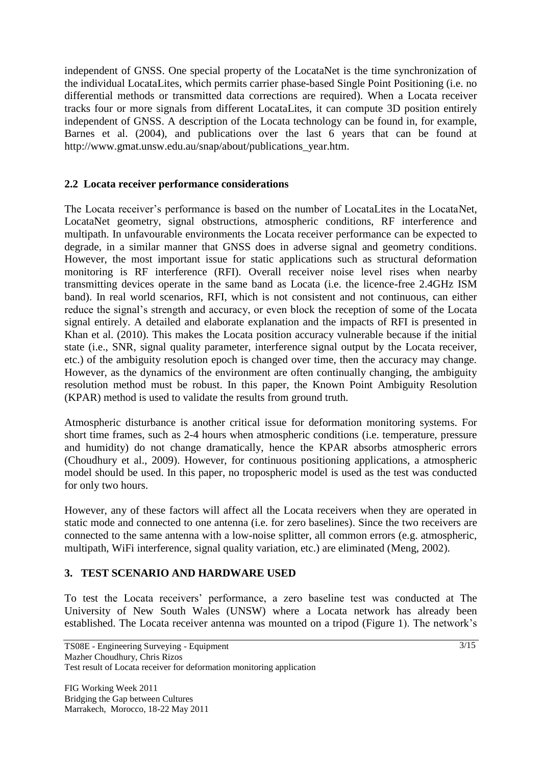independent of GNSS. One special property of the LocataNet is the time synchronization of the individual LocataLites, which permits carrier phase-based Single Point Positioning (i.e. no differential methods or transmitted data corrections are required). When a Locata receiver tracks four or more signals from different LocataLites, it can compute 3D position entirely independent of GNSS. A description of the Locata technology can be found in, for example, Barnes et al. (2004), and publications over the last 6 years that can be found at http://www.gmat.unsw.edu.au/snap/about/publications\_year.htm.

### **2.2 Locata receiver performance considerations**

The Locata receiver's performance is based on the number of LocataLites in the LocataNet, LocataNet geometry, signal obstructions, atmospheric conditions, RF interference and multipath. In unfavourable environments the Locata receiver performance can be expected to degrade, in a similar manner that GNSS does in adverse signal and geometry conditions. However, the most important issue for static applications such as structural deformation monitoring is RF interference (RFI). Overall receiver noise level rises when nearby transmitting devices operate in the same band as Locata (i.e. the licence-free 2.4GHz ISM band). In real world scenarios, RFI, which is not consistent and not continuous, can either reduce the signal's strength and accuracy, or even block the reception of some of the Locata signal entirely. A detailed and elaborate explanation and the impacts of RFI is presented in Khan et al. (2010). This makes the Locata position accuracy vulnerable because if the initial state (i.e., SNR, signal quality parameter, interference signal output by the Locata receiver, etc.) of the ambiguity resolution epoch is changed over time, then the accuracy may change. However, as the dynamics of the environment are often continually changing, the ambiguity resolution method must be robust. In this paper, the Known Point Ambiguity Resolution (KPAR) method is used to validate the results from ground truth.

Atmospheric disturbance is another critical issue for deformation monitoring systems. For short time frames, such as 2-4 hours when atmospheric conditions (i.e. temperature, pressure and humidity) do not change dramatically, hence the KPAR absorbs atmospheric errors (Choudhury et al., 2009). However, for continuous positioning applications, a atmospheric model should be used. In this paper, no tropospheric model is used as the test was conducted for only two hours.

However, any of these factors will affect all the Locata receivers when they are operated in static mode and connected to one antenna (i.e. for zero baselines). Since the two receivers are connected to the same antenna with a low-noise splitter, all common errors (e.g. atmospheric, multipath, WiFi interference, signal quality variation, etc.) are eliminated (Meng, 2002).

### **3. TEST SCENARIO AND HARDWARE USED**

To test the Locata receivers' performance, a zero baseline test was conducted at The University of New South Wales (UNSW) where a Locata network has already been established. The Locata receiver antenna was mounted on a tripod (Figure 1). The network's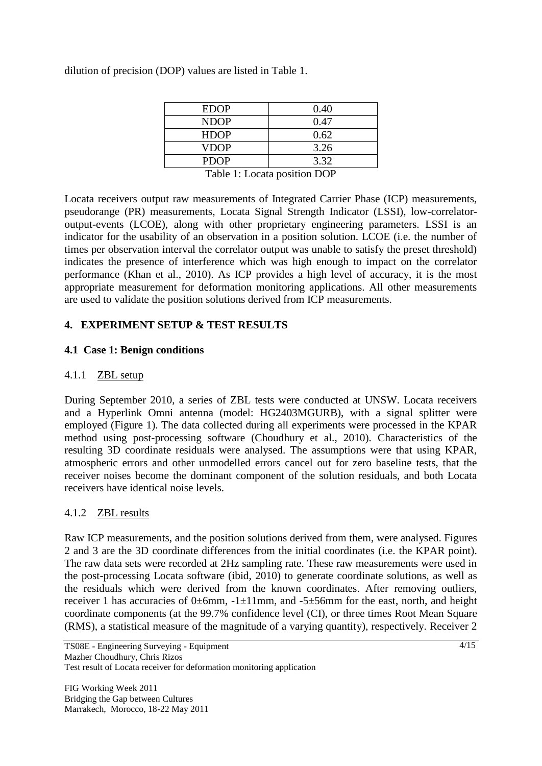dilution of precision (DOP) values are listed in Table 1.

| <b>EDOP</b> | 0.40                          |
|-------------|-------------------------------|
| <b>NDOP</b> | 0.47                          |
| <b>HDOP</b> | 0.62                          |
| VDOP        | 3.26                          |
| <b>PDOP</b> | 3.32                          |
| __ _ _      | $\ddot{\phantom{1}}$<br>_ _ _ |

Table 1: Locata position DOP

Locata receivers output raw measurements of Integrated Carrier Phase (ICP) measurements, pseudorange (PR) measurements, Locata Signal Strength Indicator (LSSI), low-correlatoroutput-events (LCOE), along with other proprietary engineering parameters. LSSI is an indicator for the usability of an observation in a position solution. LCOE (i.e. the number of times per observation interval the correlator output was unable to satisfy the preset threshold) indicates the presence of interference which was high enough to impact on the correlator performance (Khan et al., 2010). As ICP provides a high level of accuracy, it is the most appropriate measurement for deformation monitoring applications. All other measurements are used to validate the position solutions derived from ICP measurements.

## **4. EXPERIMENT SETUP & TEST RESULTS**

#### **4.1 Case 1: Benign conditions**

#### 4.1.1 ZBL setup

During September 2010, a series of ZBL tests were conducted at UNSW. Locata receivers and a Hyperlink Omni antenna (model: HG2403MGURB), with a signal splitter were employed (Figure 1). The data collected during all experiments were processed in the KPAR method using post-processing software (Choudhury et al., 2010). Characteristics of the resulting 3D coordinate residuals were analysed. The assumptions were that using KPAR, atmospheric errors and other unmodelled errors cancel out for zero baseline tests, that the receiver noises become the dominant component of the solution residuals, and both Locata receivers have identical noise levels.

### 4.1.2 ZBL results

Raw ICP measurements, and the position solutions derived from them, were analysed. Figures 2 and 3 are the 3D coordinate differences from the initial coordinates (i.e. the KPAR point). The raw data sets were recorded at 2Hz sampling rate. These raw measurements were used in the post-processing Locata software (ibid, 2010) to generate coordinate solutions, as well as the residuals which were derived from the known coordinates. After removing outliers, receiver 1 has accuracies of 0±6mm,  $-1\pm11$ mm, and  $-5\pm56$ mm for the east, north, and height coordinate components (at the 99.7% confidence level (CI), or three times Root Mean Square (RMS), a statistical measure of the magnitude of a varying quantity), respectively. Receiver 2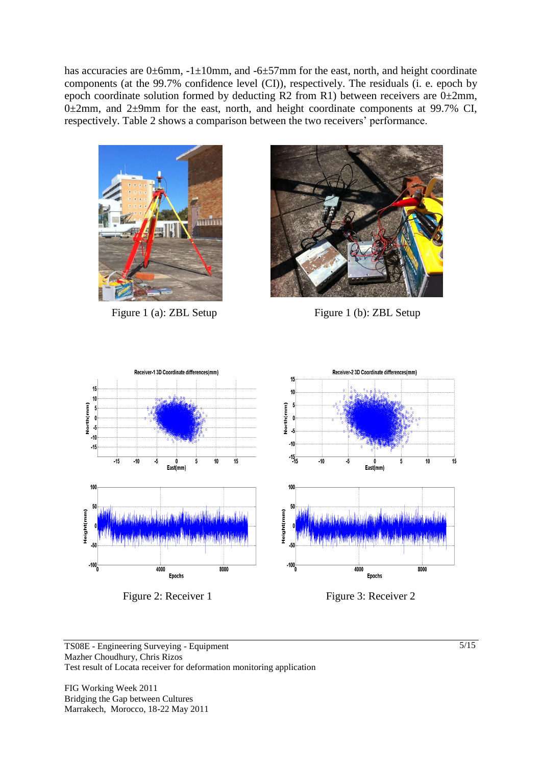has accuracies are 0±6mm,  $-1\pm10$ mm, and  $-6\pm57$ mm for the east, north, and height coordinate components (at the 99.7% confidence level (CI)), respectively. The residuals (i. e. epoch by epoch coordinate solution formed by deducting R2 from R1) between receivers are  $0\pm2$ mm,  $0\pm2$ mm, and  $2\pm9$ mm for the east, north, and height coordinate components at 99.7% CI, respectively. Table 2 shows a comparison between the two receivers' performance.



Figure 1 (a): ZBL Setup Figure 1 (b): ZBL Setup





Figure 2: Receiver 1 Figure 3: Receiver 2

TS08E - Engineering Surveying - Equipment Mazher Choudhury, Chris Rizos Test result of Locata receiver for deformation monitoring application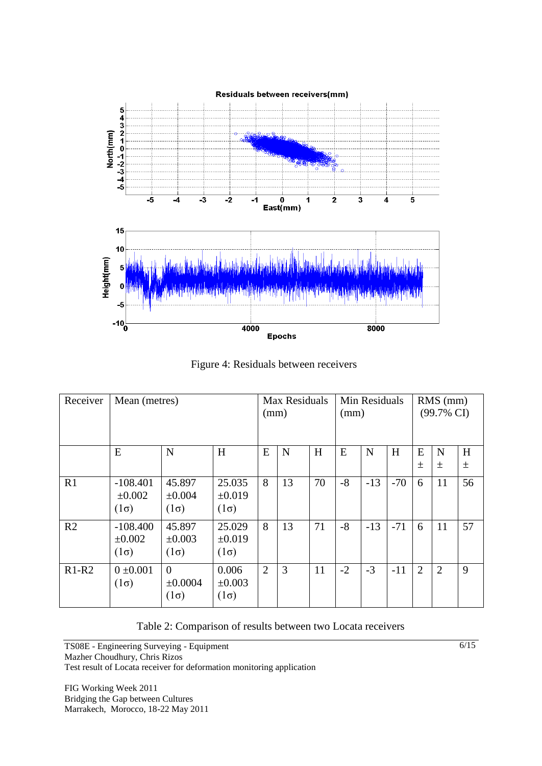

Figure 4: Residuals between receivers

| Receiver       | Mean (metres)                            |                                      |                                      | Max Residuals<br>(mm) |    |    | (mm) | Min Residuals |       | $RMS$ (mm)<br>$(99.7\% \text{ CI})$ |                |            |
|----------------|------------------------------------------|--------------------------------------|--------------------------------------|-----------------------|----|----|------|---------------|-------|-------------------------------------|----------------|------------|
|                | E                                        | N                                    | H                                    | E                     | N  | H  | E    | N             | H     | E<br>士                              | N<br>$\pm$     | H<br>$\pm$ |
| R1             | $-108.401$<br>$\pm 0.002$<br>$(1\sigma)$ | 45.897<br>$\pm 0.004$<br>$(1\sigma)$ | 25.035<br>$\pm 0.019$<br>$(1\sigma)$ | 8                     | 13 | 70 | $-8$ | $-13$         | $-70$ | 6                                   | 11             | 56         |
| R <sub>2</sub> | $-108.400$<br>±0.002<br>$(1\sigma)$      | 45.897<br>±0.003<br>$(1\sigma)$      | 25.029<br>$\pm 0.019$<br>$(1\sigma)$ | 8                     | 13 | 71 | $-8$ | $-13$         | $-71$ | 6                                   | 11             | 57         |
| $R1-R2$        | $0 \pm 0.001$<br>$(1\sigma)$             | $\theta$<br>±0.0004<br>$(1\sigma)$   | 0.006<br>$\pm 0.003$<br>$(1\sigma)$  | $\overline{2}$        | 3  | 11 | $-2$ | $-3$          | $-11$ | $\overline{2}$                      | $\overline{2}$ | 9          |

Table 2: Comparison of results between two Locata receivers

TS08E - Engineering Surveying - Equipment Mazher Choudhury, Chris Rizos Test result of Locata receiver for deformation monitoring application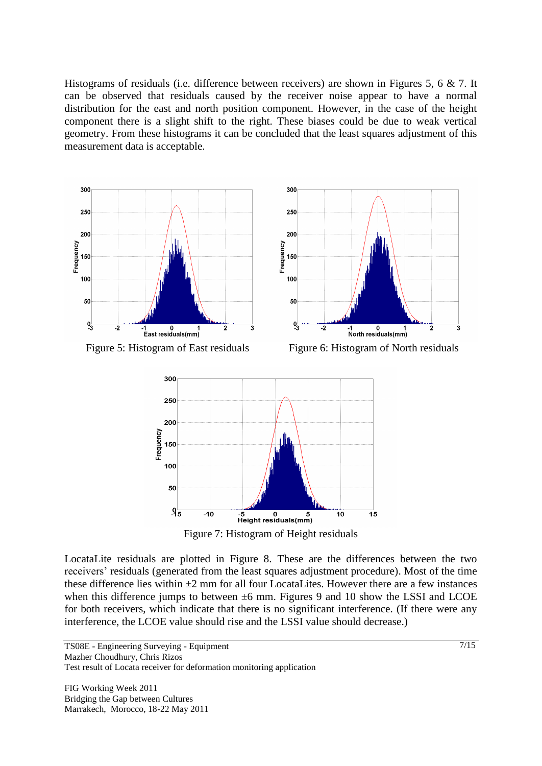Histograms of residuals (i.e. difference between receivers) are shown in Figures 5, 6 & 7. It can be observed that residuals caused by the receiver noise appear to have a normal distribution for the east and north position component. However, in the case of the height component there is a slight shift to the right. These biases could be due to weak vertical geometry. From these histograms it can be concluded that the least squares adjustment of this measurement data is acceptable.





LocataLite residuals are plotted in Figure 8. These are the differences between the two receivers' residuals (generated from the least squares adjustment procedure). Most of the time these difference lies within  $\pm 2$  mm for all four LocataLites. However there are a few instances when this difference jumps to between  $\pm 6$  mm. Figures 9 and 10 show the LSSI and LCOE for both receivers, which indicate that there is no significant interference. (If there were any interference, the LCOE value should rise and the LSSI value should decrease.)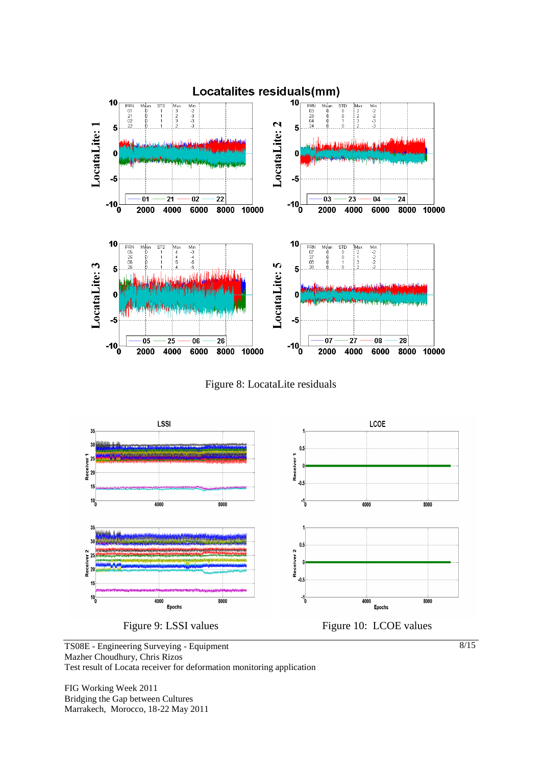

Figure 8: LocataLite residuals



TS08E - Engineering Surveying - Equipment Mazher Choudhury, Chris Rizos Test result of Locata receiver for deformation monitoring application

FIG Working Week 2011 Bridging the Gap between Cultures Marrakech, Morocco, 18-22 May 2011 8/15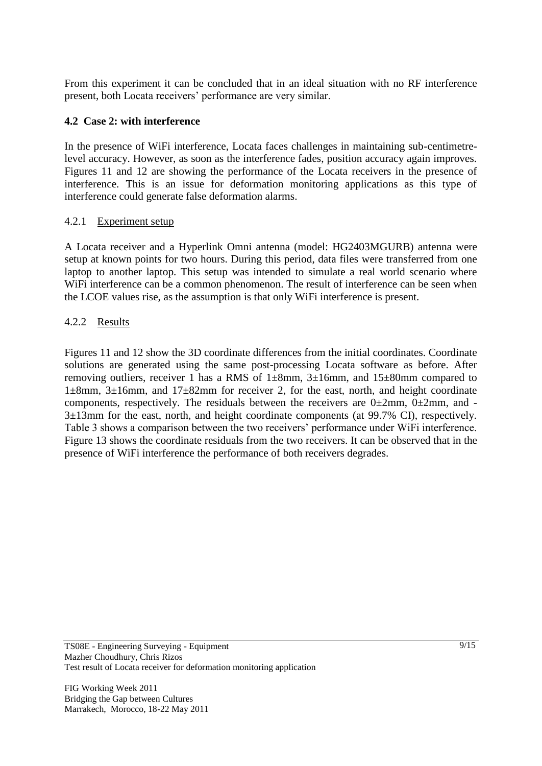From this experiment it can be concluded that in an ideal situation with no RF interference present, both Locata receivers' performance are very similar.

### **4.2 Case 2: with interference**

In the presence of WiFi interference, Locata faces challenges in maintaining sub-centimetrelevel accuracy. However, as soon as the interference fades, position accuracy again improves. Figures 11 and 12 are showing the performance of the Locata receivers in the presence of interference. This is an issue for deformation monitoring applications as this type of interference could generate false deformation alarms.

## 4.2.1 Experiment setup

A Locata receiver and a Hyperlink Omni antenna (model: HG2403MGURB) antenna were setup at known points for two hours. During this period, data files were transferred from one laptop to another laptop. This setup was intended to simulate a real world scenario where WiFi interference can be a common phenomenon. The result of interference can be seen when the LCOE values rise, as the assumption is that only WiFi interference is present.

## 4.2.2 Results

Figures 11 and 12 show the 3D coordinate differences from the initial coordinates. Coordinate solutions are generated using the same post-processing Locata software as before. After removing outliers, receiver 1 has a RMS of 1±8mm, 3±16mm, and 15±80mm compared to 1±8mm, 3±16mm, and 17±82mm for receiver 2, for the east, north, and height coordinate components, respectively. The residuals between the receivers are  $0\pm 2$ mm,  $0\pm 2$ mm, and -3±13mm for the east, north, and height coordinate components (at 99.7% CI), respectively. Table 3 shows a comparison between the two receivers' performance under WiFi interference. Figure 13 shows the coordinate residuals from the two receivers. It can be observed that in the presence of WiFi interference the performance of both receivers degrades.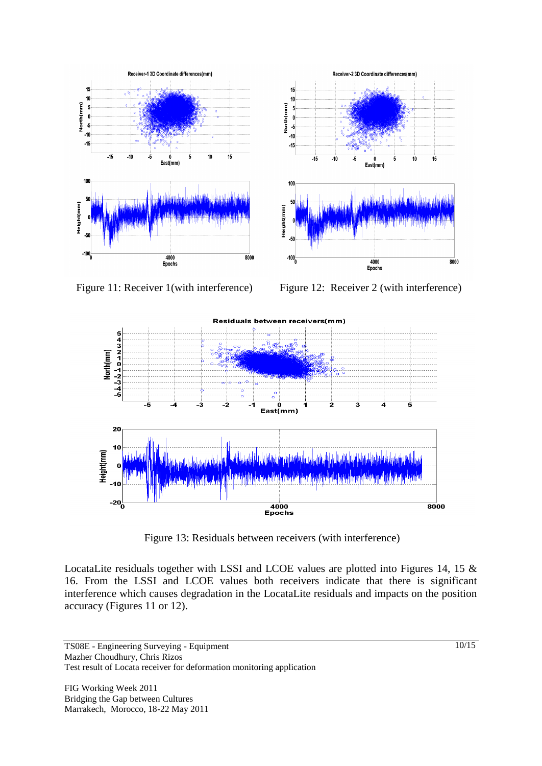

Figure 11: Receiver 1(with interference) Figure 12: Receiver 2 (with interference)



Figure 13: Residuals between receivers (with interference)

LocataLite residuals together with LSSI and LCOE values are plotted into Figures 14, 15 & 16. From the LSSI and LCOE values both receivers indicate that there is significant interference which causes degradation in the LocataLite residuals and impacts on the position accuracy (Figures 11 or 12).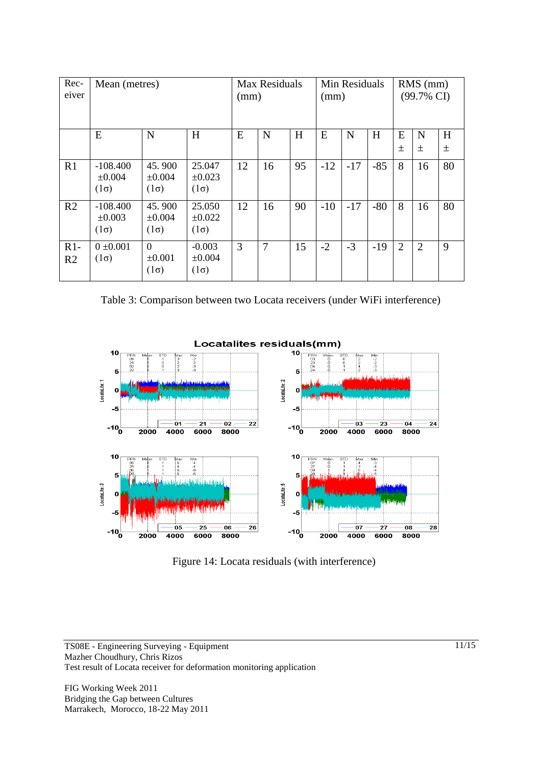| Rec-<br>eiver           | Mean (metres)                            |                                        |                                        | Max Residuals<br>(mm) |    |    | Min Residuals<br>(mm) |       |       | $RMS$ (mm)<br>$(99.7\% \text{ CI})$ |                |        |
|-------------------------|------------------------------------------|----------------------------------------|----------------------------------------|-----------------------|----|----|-----------------------|-------|-------|-------------------------------------|----------------|--------|
|                         | E                                        | N                                      | H                                      | E                     | N  | H  | E                     | N     | H     | E<br>土                              | N<br>土         | H<br>土 |
| R1                      | $-108.400$<br>$\pm 0.004$<br>$(1\sigma)$ | 45.900<br>$\pm 0.004$<br>$(1\sigma)$   | 25.047<br>±0.023<br>$(1\sigma)$        | 12                    | 16 | 95 | $-12$                 | $-17$ | $-85$ | 8                                   | 16             | 80     |
| R <sub>2</sub>          | $-108.400$<br>$\pm 0.003$<br>$(1\sigma)$ | 45.900<br>$\pm 0.004$<br>$(1\sigma)$   | 25.050<br>$\pm 0.022$<br>$(1\sigma)$   | 12                    | 16 | 90 | $-10$                 | $-17$ | $-80$ | 8                                   | 16             | 80     |
| $R1-$<br>R <sub>2</sub> | $0 \pm 0.001$<br>$(1\sigma)$             | $\Omega$<br>$\pm 0.001$<br>$(1\sigma)$ | $-0.003$<br>$\pm 0.004$<br>$(1\sigma)$ | 3                     | 7  | 15 | $-2$                  | $-3$  | $-19$ | $\overline{2}$                      | $\overline{2}$ | 9      |

Table 3: Comparison between two Locata receivers (under WiFi interference)



Figure 14: Locata residuals (with interference)

TS08E - Engineering Surveying - Equipment Mazher Choudhury, Chris Rizos Test result of Locata receiver for deformation monitoring application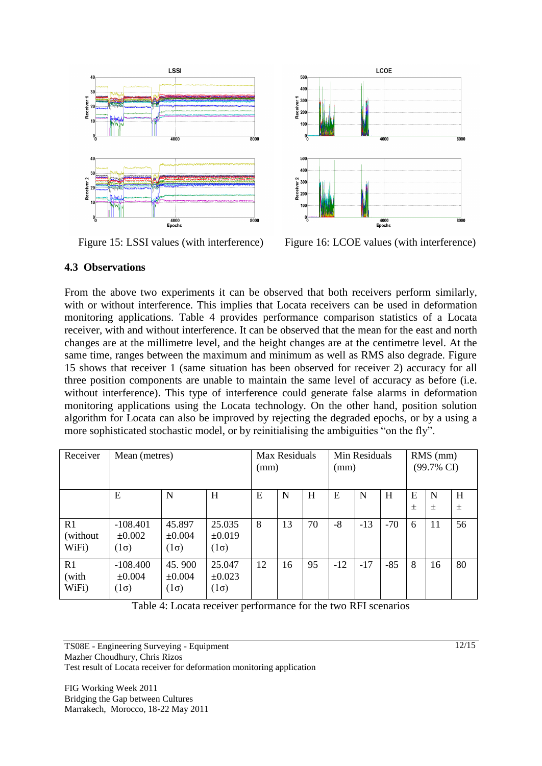



Figure 15: LSSI values (with interference) Figure 16: LCOE values (with interference)

#### **4.3 Observations**

From the above two experiments it can be observed that both receivers perform similarly, with or without interference. This implies that Locata receivers can be used in deformation monitoring applications. Table 4 provides performance comparison statistics of a Locata receiver, with and without interference. It can be observed that the mean for the east and north changes are at the millimetre level, and the height changes are at the centimetre level. At the same time, ranges between the maximum and minimum as well as RMS also degrade. Figure 15 shows that receiver 1 (same situation has been observed for receiver 2) accuracy for all three position components are unable to maintain the same level of accuracy as before (i.e. without interference). This type of interference could generate false alarms in deformation monitoring applications using the Locata technology. On the other hand, position solution algorithm for Locata can also be improved by rejecting the degraded epochs, or by a using a more sophisticated stochastic model, or by reinitialising the ambiguities "on the fly".

| Receiver                 | Mean (metres)                            |                                      |                                      | Max Residuals<br>(mm) |    |    | Min Residuals<br>(mm) |       |       | $RMS$ (mm)<br>$(99.7\% \text{ CI})$ |        |            |
|--------------------------|------------------------------------------|--------------------------------------|--------------------------------------|-----------------------|----|----|-----------------------|-------|-------|-------------------------------------|--------|------------|
|                          | E                                        | N                                    | Н                                    | E                     | N  | H  | E                     | N     | H     | E<br>$\pm$                          | N<br>土 | H<br>$\pm$ |
| R1<br>(without)<br>WiFi) | $-108.401$<br>$\pm 0.002$<br>$(1\sigma)$ | 45.897<br>$\pm 0.004$<br>$(1\sigma)$ | 25.035<br>$\pm 0.019$<br>$(1\sigma)$ | 8                     | 13 | 70 | $-8$                  | $-13$ | $-70$ | 6                                   | 11     | 56         |
| R1<br>(with<br>WiFi)     | $-108.400$<br>$\pm 0.004$<br>$(1\sigma)$ | 45.900<br>$\pm 0.004$<br>$(1\sigma)$ | 25.047<br>$\pm 0.023$<br>$(1\sigma)$ | 12                    | 16 | 95 | $-12$                 | $-17$ | $-85$ | 8                                   | 16     | 80         |

Table 4: Locata receiver performance for the two RFI scenarios

TS08E - Engineering Surveying - Equipment Mazher Choudhury, Chris Rizos Test result of Locata receiver for deformation monitoring application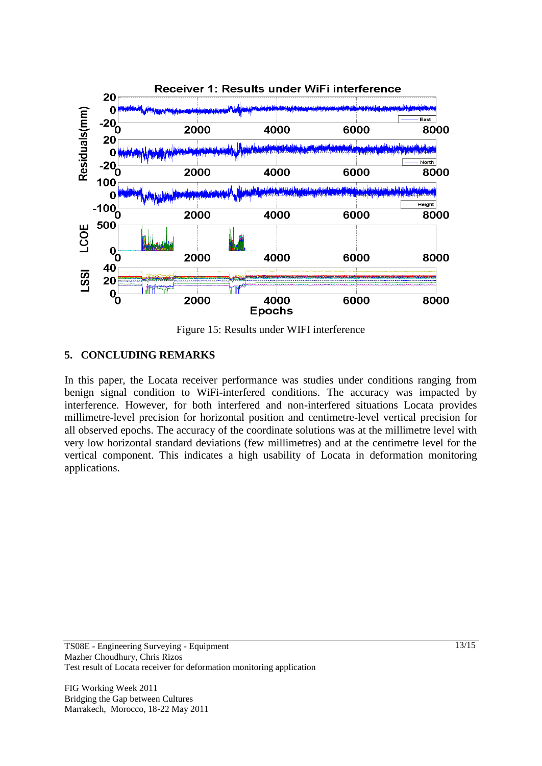

Figure 15: Results under WIFI interference

### **5. CONCLUDING REMARKS**

In this paper, the Locata receiver performance was studies under conditions ranging from benign signal condition to WiFi-interfered conditions. The accuracy was impacted by interference. However, for both interfered and non-interfered situations Locata provides millimetre-level precision for horizontal position and centimetre-level vertical precision for all observed epochs. The accuracy of the coordinate solutions was at the millimetre level with very low horizontal standard deviations (few millimetres) and at the centimetre level for the vertical component. This indicates a high usability of Locata in deformation monitoring applications.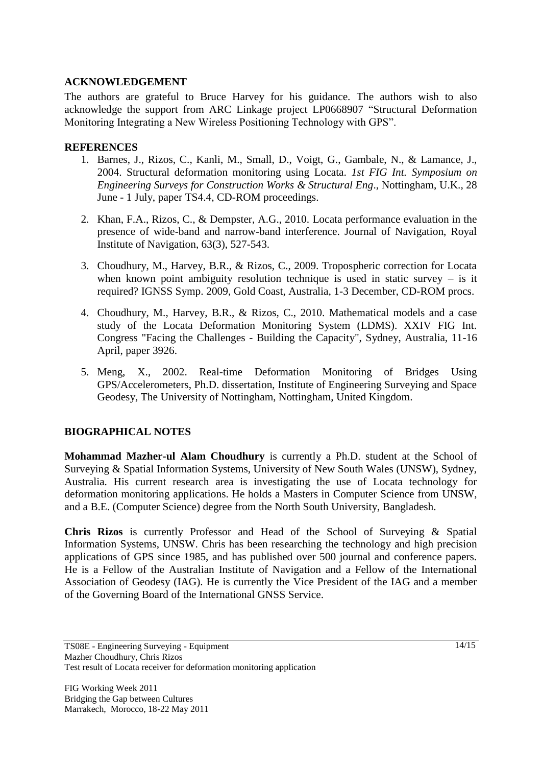### **ACKNOWLEDGEMENT**

The authors are grateful to Bruce Harvey for his guidance. The authors wish to also acknowledge the support from ARC Linkage project LP0668907 "Structural Deformation Monitoring Integrating a New Wireless Positioning Technology with GPS".

#### **REFERENCES**

- 1. Barnes, J., Rizos, C., Kanli, M., Small, D., Voigt, G., Gambale, N., & Lamance, J., 2004. Structural deformation monitoring using Locata. *1st FIG Int. Symposium on Engineering Surveys for Construction Works & Structural Eng*., Nottingham, U.K., 28 June - 1 July, paper TS4.4, CD-ROM proceedings.
- 2. Khan, F.A., Rizos, C., & Dempster, A.G., 2010. Locata performance evaluation in the presence of wide-band and narrow-band interference. Journal of Navigation, Royal Institute of Navigation, 63(3), 527-543.
- 3. Choudhury, M., Harvey, B.R., & Rizos, C., 2009. Tropospheric correction for Locata when known point ambiguity resolution technique is used in static survey  $-$  is it required? IGNSS Symp. 2009, Gold Coast, Australia, 1-3 December, CD-ROM procs.
- 4. Choudhury, M., Harvey, B.R., & Rizos, C., 2010. Mathematical models and a case study of the Locata Deformation Monitoring System (LDMS). XXIV FIG Int. Congress "Facing the Challenges - Building the Capacity", Sydney, Australia, 11-16 April, paper 3926.
- 5. Meng, X., 2002. Real-time Deformation Monitoring of Bridges Using GPS/Accelerometers, Ph.D. dissertation, Institute of Engineering Surveying and Space Geodesy, The University of Nottingham, Nottingham, United Kingdom.

### **BIOGRAPHICAL NOTES**

**Mohammad Mazher-ul Alam Choudhury** is currently a Ph.D. student at the School of Surveying & Spatial Information Systems, University of New South Wales (UNSW), Sydney, Australia. His current research area is investigating the use of Locata technology for deformation monitoring applications. He holds a Masters in Computer Science from UNSW, and a B.E. (Computer Science) degree from the North South University, Bangladesh.

**Chris Rizos** is currently Professor and Head of the School of Surveying & Spatial Information Systems, UNSW. Chris has been researching the technology and high precision applications of GPS since 1985, and has published over 500 journal and conference papers. He is a Fellow of the Australian Institute of Navigation and a Fellow of the International Association of Geodesy (IAG). He is currently the Vice President of the IAG and a member of the Governing Board of the International GNSS Service.